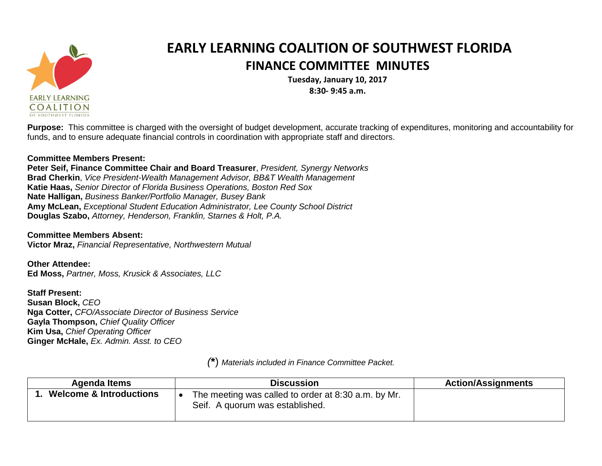

## **EARLY LEARNING COALITION OF SOUTHWEST FLORIDA FINANCE COMMITTEE MINUTES**

**Tuesday, January 10, 2017 8:30- 9:45 a.m.**

**Purpose:** This committee is charged with the oversight of budget development, accurate tracking of expenditures, monitoring and accountability for funds, and to ensure adequate financial controls in coordination with appropriate staff and directors.

## **Committee Members Present:**

**Peter Seif, Finance Committee Chair and Board Treasurer**, *President, Synergy Networks* **Brad Cherkin**, *Vice President-Wealth Management Advisor, BB&T Wealth Management* **Katie Haas,** *Senior Director of Florida Business Operations, Boston Red Sox* **Nate Halligan,** *Business Banker/Portfolio Manager, Busey Bank* **Amy McLean,** *Exceptional Student Education Administrator, Lee County School District* **Douglas Szabo,** *Attorney, Henderson, Franklin, Starnes & Holt, P.A.*

**Committee Members Absent:**

**Victor Mraz,** *Financial Representative, Northwestern Mutual*

**Other Attendee: Ed Moss,** *Partner, Moss, Krusick & Associates, LLC*

**Staff Present: Susan Block,** *CEO* **Nga Cotter,** *CFO/Associate Director of Business Service* **Gayla Thompson,** *Chief Quality Officer* **Kim Usa,** *Chief Operating Officer* **Ginger McHale,** *Ex. Admin. Asst. to CEO*

Agenda Items  $\qquad$  | **Discussion Discussion Action/Assignments 1. Welcome & Introductions**  $\bullet$  The meeting was called to order at 8:30 a.m. by Mr. Seif. A quorum was established.

*(***\***) *Materials included in Finance Committee Packet.*